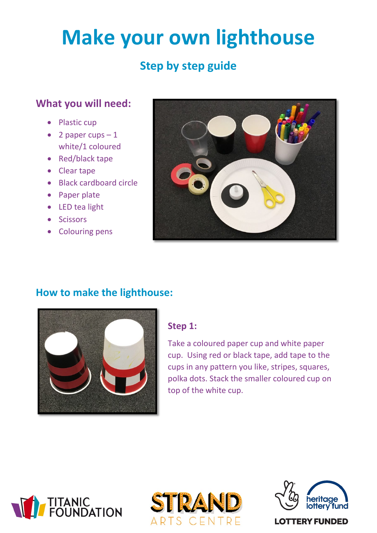# **Make your own lighthouse**

## **Step by step guide**

## **What you will need:**

- Plastic cup
- 2 paper cups  $-1$ white/1 coloured
- Red/black tape
- Clear tape
- Black cardboard circle
- Paper plate
- LED tea light
- Scissors
- Colouring pens



## **How to make the lighthouse:**



#### **Step 1:**

Take a coloured paper cup and white paper cup. Using red or black tape, add tape to the cups in any pattern you like, stripes, squares, polka dots. Stack the smaller coloured cup on top of the white cup.







**LOTTERY FUNDED**